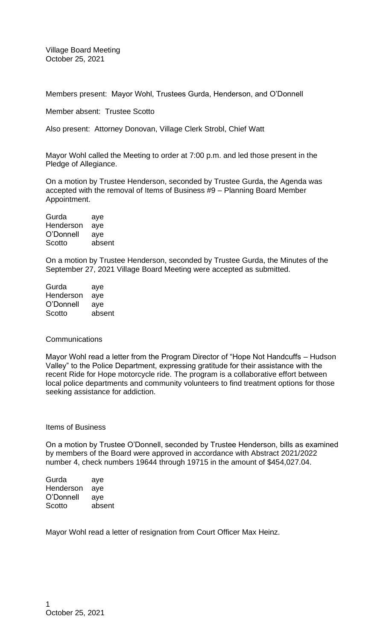Village Board Meeting October 25, 2021

Members present: Mayor Wohl, Trustees Gurda, Henderson, and O'Donnell

Member absent: Trustee Scotto

Also present: Attorney Donovan, Village Clerk Strobl, Chief Watt

Mayor Wohl called the Meeting to order at 7:00 p.m. and led those present in the Pledge of Allegiance.

On a motion by Trustee Henderson, seconded by Trustee Gurda, the Agenda was accepted with the removal of Items of Business #9 – Planning Board Member Appointment.

Gurda aye Henderson aye O'Donnell aye Scotto absent

On a motion by Trustee Henderson, seconded by Trustee Gurda, the Minutes of the September 27, 2021 Village Board Meeting were accepted as submitted.

| Gurda     | aye    |
|-----------|--------|
| Henderson | aye    |
| O'Donnell | aye    |
| Scotto    | absent |

## **Communications**

Mayor Wohl read a letter from the Program Director of "Hope Not Handcuffs – Hudson Valley" to the Police Department, expressing gratitude for their assistance with the recent Ride for Hope motorcycle ride. The program is a collaborative effort between local police departments and community volunteers to find treatment options for those seeking assistance for addiction.

### Items of Business

On a motion by Trustee O'Donnell, seconded by Trustee Henderson, bills as examined by members of the Board were approved in accordance with Abstract 2021/2022 number 4, check numbers 19644 through 19715 in the amount of \$454,027.04.

Gurda aye Henderson aye O'Donnell aye Scotto absent

Mayor Wohl read a letter of resignation from Court Officer Max Heinz.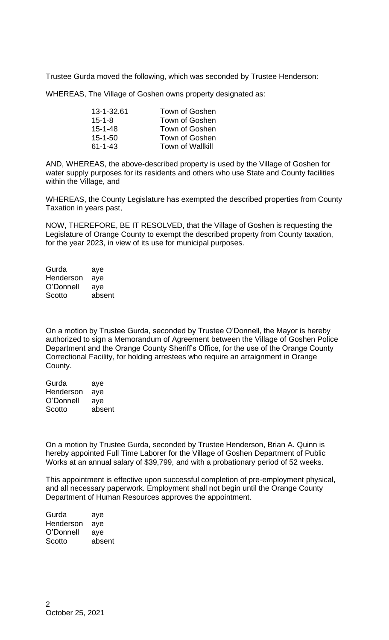Trustee Gurda moved the following, which was seconded by Trustee Henderson:

WHEREAS, The Village of Goshen owns property designated as:

| 13-1-32.61    | Town of Goshen          |
|---------------|-------------------------|
| $15 - 1 - 8$  | Town of Goshen          |
| $15 - 1 - 48$ | Town of Goshen          |
| $15 - 1 - 50$ | Town of Goshen          |
| $61 - 1 - 43$ | <b>Town of Wallkill</b> |

AND, WHEREAS, the above-described property is used by the Village of Goshen for water supply purposes for its residents and others who use State and County facilities within the Village, and

WHEREAS, the County Legislature has exempted the described properties from County Taxation in years past,

NOW, THEREFORE, BE IT RESOLVED, that the Village of Goshen is requesting the Legislature of Orange County to exempt the described property from County taxation, for the year 2023, in view of its use for municipal purposes.

Gurda aye Henderson aye O'Donnell aye Scotto absent

On a motion by Trustee Gurda, seconded by Trustee O'Donnell, the Mayor is hereby authorized to sign a Memorandum of Agreement between the Village of Goshen Police Department and the Orange County Sheriff's Office, for the use of the Orange County Correctional Facility, for holding arrestees who require an arraignment in Orange County.

Gurda aye Henderson aye O'Donnell aye Scotto absent

On a motion by Trustee Gurda, seconded by Trustee Henderson, Brian A. Quinn is hereby appointed Full Time Laborer for the Village of Goshen Department of Public Works at an annual salary of \$39,799, and with a probationary period of 52 weeks.

This appointment is effective upon successful completion of pre-employment physical, and all necessary paperwork. Employment shall not begin until the Orange County Department of Human Resources approves the appointment.

Gurda aye Henderson aye O'Donnell aye Scotto absent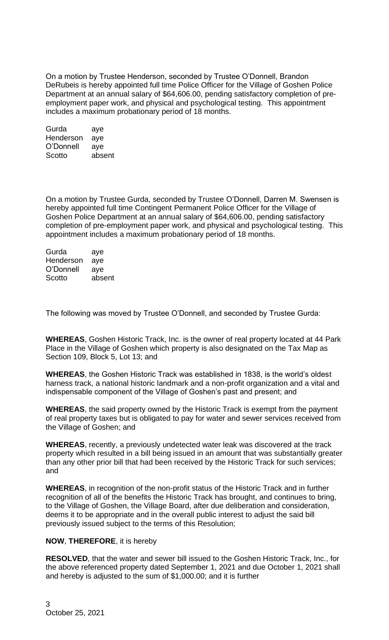On a motion by Trustee Henderson, seconded by Trustee O'Donnell, Brandon DeRubeis is hereby appointed full time Police Officer for the Village of Goshen Police Department at an annual salary of \$64,606.00, pending satisfactory completion of preemployment paper work, and physical and psychological testing. This appointment includes a maximum probationary period of 18 months.

Gurda aye Henderson aye O'Donnell aye Scotto absent

On a motion by Trustee Gurda, seconded by Trustee O'Donnell, Darren M. Swensen is hereby appointed full time Contingent Permanent Police Officer for the Village of Goshen Police Department at an annual salary of \$64,606.00, pending satisfactory completion of pre-employment paper work, and physical and psychological testing. This appointment includes a maximum probationary period of 18 months.

Gurda aye Henderson aye O'Donnell aye Scotto absent

The following was moved by Trustee O'Donnell, and seconded by Trustee Gurda:

**WHEREAS**, Goshen Historic Track, Inc. is the owner of real property located at 44 Park Place in the Village of Goshen which property is also designated on the Tax Map as Section 109, Block 5, Lot 13; and

**WHEREAS**, the Goshen Historic Track was established in 1838, is the world's oldest harness track, a national historic landmark and a non-profit organization and a vital and indispensable component of the Village of Goshen's past and present; and

**WHEREAS**, the said property owned by the Historic Track is exempt from the payment of real property taxes but is obligated to pay for water and sewer services received from the Village of Goshen; and

**WHEREAS**, recently, a previously undetected water leak was discovered at the track property which resulted in a bill being issued in an amount that was substantially greater than any other prior bill that had been received by the Historic Track for such services; and

**WHEREAS**, in recognition of the non-profit status of the Historic Track and in further recognition of all of the benefits the Historic Track has brought, and continues to bring, to the Village of Goshen, the Village Board, after due deliberation and consideration, deems it to be appropriate and in the overall public interest to adjust the said bill previously issued subject to the terms of this Resolution;

## **NOW**, **THEREFORE**, it is hereby

**RESOLVED**, that the water and sewer bill issued to the Goshen Historic Track, Inc., for the above referenced property dated September 1, 2021 and due October 1, 2021 shall and hereby is adjusted to the sum of \$1,000.00; and it is further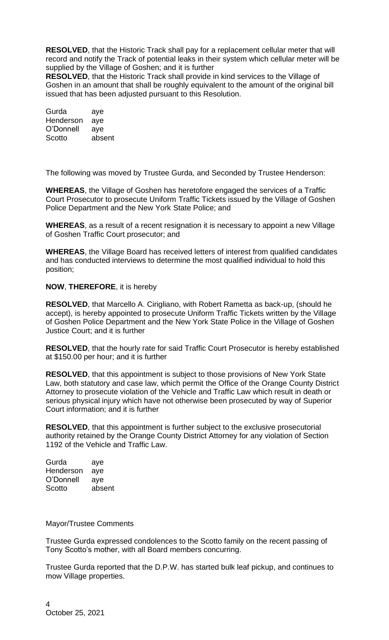**RESOLVED**, that the Historic Track shall pay for a replacement cellular meter that will record and notify the Track of potential leaks in their system which cellular meter will be supplied by the Village of Goshen; and it is further

**RESOLVED**, that the Historic Track shall provide in kind services to the Village of Goshen in an amount that shall be roughly equivalent to the amount of the original bill issued that has been adjusted pursuant to this Resolution.

Gurda aye Henderson aye O'Donnell aye Scotto absent

The following was moved by Trustee Gurda, and Seconded by Trustee Henderson:

**WHEREAS**, the Village of Goshen has heretofore engaged the services of a Traffic Court Prosecutor to prosecute Uniform Traffic Tickets issued by the Village of Goshen Police Department and the New York State Police; and

**WHEREAS**, as a result of a recent resignation it is necessary to appoint a new Village of Goshen Traffic Court prosecutor; and

**WHEREAS**, the Village Board has received letters of interest from qualified candidates and has conducted interviews to determine the most qualified individual to hold this position;

# **NOW**, **THEREFORE**, it is hereby

**RESOLVED**, that Marcello A. Cirigliano, with Robert Rametta as back-up, (should he accept), is hereby appointed to prosecute Uniform Traffic Tickets written by the Village of Goshen Police Department and the New York State Police in the Village of Goshen Justice Court; and it is further

**RESOLVED**, that the hourly rate for said Traffic Court Prosecutor is hereby established at \$150.00 per hour; and it is further

**RESOLVED**, that this appointment is subject to those provisions of New York State Law, both statutory and case law, which permit the Office of the Orange County District Attorney to prosecute violation of the Vehicle and Traffic Law which result in death or serious physical injury which have not otherwise been prosecuted by way of Superior Court information; and it is further

**RESOLVED**, that this appointment is further subject to the exclusive prosecutorial authority retained by the Orange County District Attorney for any violation of Section 1192 of the Vehicle and Traffic Law.

| Gurda     | aye    |
|-----------|--------|
| Henderson | aye    |
| O'Donnell | aye    |
| Scotto    | absent |
|           |        |

## Mayor/Trustee Comments

Trustee Gurda expressed condolences to the Scotto family on the recent passing of Tony Scotto's mother, with all Board members concurring.

Trustee Gurda reported that the D.P.W. has started bulk leaf pickup, and continues to mow Village properties.